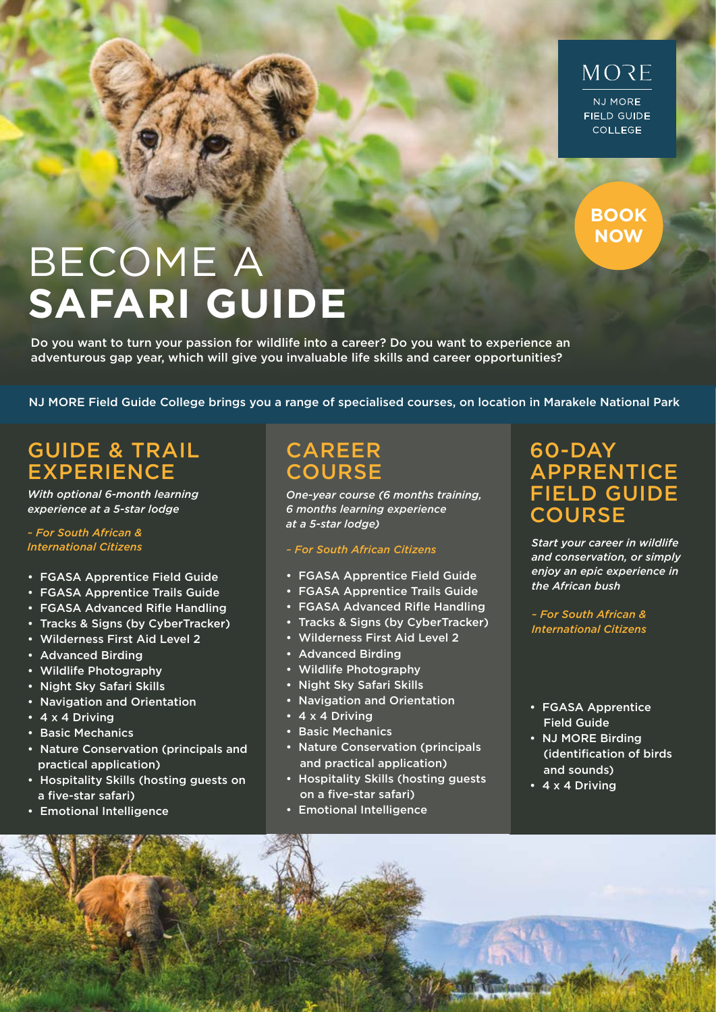## MORE NJ MORE

**FIELD GUIDE COLLEGE** 

**BOOK NOW**

# BECOME A **SAFARI GUIDE**

Do you want to turn your passion for wildlife into a career? Do you want to experience an adventurous gap year, which will give you invaluable life skills and career opportunities?

NJ MORE Field Guide College brings you a range of specialised courses, on location in Marakele National Park

### GUIDE & TRAIL **EXPERIENCE**

*With optional 6-month learning experience at a 5-star lodge*

#### *~ For South African & International Citizens*

- FGASA Apprentice Field Guide
- FGASA Apprentice Trails Guide
- FGASA Advanced Rifle Handling
- Tracks & Signs (by CyberTracker)
- Wilderness First Aid Level 2
- Advanced Birding
- Wildlife Photography
- Night Sky Safari Skills
- Navigation and Orientation
- 4 x 4 Driving
- Basic Mechanics
- Nature Conservation (principals and practical application)
- Hospitality Skills (hosting guests on a five-star safari)
- Emotional Intelligence

### CAREER **COURSE**

*One-year course (6 months training, 6 months learning experience at a 5-star lodge)*

#### *~ For South African Citizens*

- FGASA Apprentice Field Guide
- FGASA Apprentice Trails Guide
- FGASA Advanced Rifle Handling
- Tracks & Signs (by CyberTracker)
- Wilderness First Aid Level 2
- Advanced Birding
- Wildlife Photography
- Night Sky Safari Skills
- Navigation and Orientation
- 4 x 4 Driving
- Basic Mechanics
- Nature Conservation (principals and practical application)
- Hospitality Skills (hosting guests on a five-star safari)
- Emotional Intelligence

#### 60-DAY **APPRENTICE** FIELD GUIDE **COURSE**

*Start your career in wildlife and conservation, or simply enjoy an epic experience in the African bush*

*~ For South African & International Citizens*

- FGASA Apprentice Field Guide
- NJ MORE Birding (identification of birds and sounds)
- 4 x 4 Driving